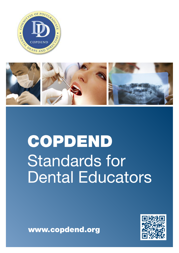



# **COPDEND** Standards for Dental Educators



**www.copdend.org**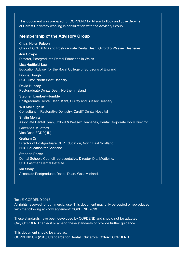This document was prepared for COPDEND by Alison Bullock and Julie Browne at Cardiff University working in consultation with the Advisory Group.

#### **Membership of the Advisory Group**

Chair: **Helen Falcon** Chair of COPDEND and Postgraduate Dental Dean, Oxford & Wessex Deaneries

**Jon Cowpe** Director, Postgraduate Dental Education in Wales

**Lisa Hadfield-Law** Education Adviser for the Royal College of Surgeons of England

**Donna Hough** DCP Tutor, North West Deanery

**David Hussey** Postgraduate Dental Dean, Northern Ireland

**Stephen Lambert-Humble** Postgraduate Dental Dean, Kent, Surrey and Sussex Deanery

**Will McLaughlin** Consultant in Restorative Dentistry, Cardiff Dental Hospital

**Shalin Mehra** Associate Dental Dean, Oxford & Wessex Deaneries, Dental Corporate Body Director

**Lawrence Mudford** Vice Dean FGDP(UK)

**Graham Orr** Director of Postgraduate GDP Education, North East Scotland, NHS Education for Scotland

**Stephen Porter** Dental Schools Council representative, Director Oral Medicine, UCL Eastman Dental Institute

**Ian Sharp** Associate Postgraduate Dental Dean, West Midlands

#### Text © COPDEND 2013.

All rights reserved for commercial use. This document may only be copied or reproduced with the following acknowledgement: **COPDEND 2013**

These standards have been developed by COPDEND and should not be adapted. Only COPDEND can edit or amend these standards or provide further guidance.

This document should be cited as: **COPDEND UK (2013) Standards for Dental Educators. Oxford: COPDEND**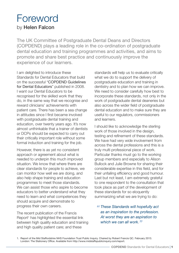### Foreword by **Helen Falcon**

The UK Committee of Postgraduate Dental Deans and Directors (COPDEND) plays a leading role in the co-ordination of postgraduate dental education and training programmes and activities, and aims to promote and share best practice and continuously improve the experience of our learners.

I am delighted to introduce these Standards for Dental Educators that build on the successful "COPDEND Guidelines for Dental Educators" published in 2008. I want our Dental Educators to be recognised for the skilled work that they do, in the same way that we recognise and reward clinicians' achievements with patient care. There has been a sea change in attitudes since I first became involved with postgraduate dental training and education, over twenty years ago. It's now almost unthinkable that a trainer of dentists or DCPs should be expected to carry out their critically important role without some formal induction and training for the job.

However, there is as yet no consistent approach or agreement about what is needed to underpin this much improved situation. We know that where there are clear standards for people to achieve, we can monitor how well we are doing, and also help shape training and education programmes to meet those standards. We can assist those who aspire to become educators to better understand what they need to learn and what competences they should acquire and demonstrate to progress their own careers.

The recent publication of the Francis Report<sup>1</sup> has highlighted the essential link between high quality education and training and high quality patient care; and these

standards will help us to evaluate critically what we do to support the delivery of postgraduate education and training in dentistry and to plan how we can improve. We need to consider carefully how best to incorporate these standards, not only in the work of postgraduate dental deaneries but also across the wider field of postgraduate dental education and to make sure they are useful to our regulators, commissioners and learners.

I should like to acknowledge the sterling work of those involved in the design, testing and refinement of these standards. We have had very wide involvement from across the dental professions and this is a truly multi professional piece of work. Particular thanks must go to the working group members and especially to Alison Bullock and Julie Browne for sharing their considerable expertise in this field, and for their unfailing efficiency and good humour. Last but not least, I am extremely grateful to one respondent to the consultation that took place as part of the development of these standards for so eloquently summarizing what we are trying to do:

*" These Standards will hopefully act as an inspiration to the profession. At worst they are an aspiration to which we can all work. "*

<sup>1.</sup> Report of the Mid Staffordshire NHS Foundation Trust Public Inquiry. Chaired by Robert Francis QC. February 2013. London: The Stationery Office. Available from http://www.midstaffspublicinquiry.com/report.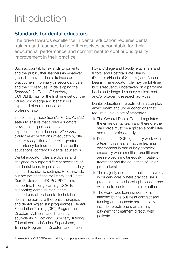## Introduction

#### **Standards for dental educators**

The drive towards excellence in dental education requires dental trainers and teachers to hold themselves accountable for their educational performance and commitment to continuous quality improvement in their practice.

Such accountability extends to patients and the public, their learners (in whatever guise, be they students, trainees or practitioners in primary or secondary care), and their colleagues. In developing the *Standards for Dental Educators*, COPDEND has for the first time set out the values, knowledge and behaviours expected of dental education professionals. 2

In presenting these *Standards*, COPDEND seeks to ensure that skilled educators provide high quality educational experiences for all learners. *Standards* clarify the expectations of educators, offer greater recognition of the role, greater consistency for learners, and shape the educational content for dental educators.

Dental educator roles are diverse and designed to support different members of the dental team, in primary and secondary care and academic settings. Roles include but are not confined to: Dental and Dental Care Professional (DCP) CPD Tutors, supporting lifelong learning; DCP Tutors supporting dental nurses, dental technicians, clinical dental technicians, dental therapists, orthodontic therapists and dental hygienists' programmes; Dental Foundation Training (DFT) Programme Directors, Advisers and Trainers (and equivalents in Scotland); Specialty Training Educational and Clinical Supervisors, Training Programme Directors and Trainers; Royal College and Faculty examiners and tutors; and Postgraduate Deans (Directors/Heads of Schools) and Associate Deans. The educator role may be full-time but is frequently undertaken on a part-time basis and alongside a busy clinical post and/or academic research activities.

Dental education is practised in a complex environment and under conditions that require a unique set of standards.

- ◗ The General Dental Council regulates the entire dental team and therefore the standards must be applicable both interand multi-professionally.
- **▶ Dentists and DCPs generally work within** a team; this means that the learning environment is particularly complex, especially where multiple practitioners are involved simultaneously in patient treatment and the education of junior professionals.
- ◗ The majority of dental practitioners work in primary care, where practical skills predominate and learning is one-on-one with the trainer in the dental practice.
- The workplace learning context is affected by the business contract and funding arrangements and regularly includes practitioners discussing payment for treatment directly with patients.

2. We note that COPDEND's responsibility is for postgraduate and continuing education and training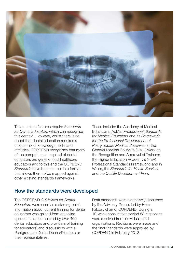

These unique features require *Standards for Dental Educators* which can recognise this context. However, whilst there is no doubt that dental education requires a unique mix of knowledge, skills and attitudes, COPDEND recognises that many of the competences required of dental educators are generic to all healthcare educators and to this end the COPDEND *Standards* have been set out in a format that allows them to be mapped against other existing standards frameworks.

These include: the Academy of Medical Educator's (AoME) *Professional Standards for Medical Educators* and its *Framework for the Professional Development of Postgraduate Medical Supervisors*; the General Medical Council's (GMC) work on the Recognition and Approval of Trainers; the Higher Education Academy's (HEA) Professional Standards Framework; and in Wales, the *Standards for Health Services* and the *Quality Development Plan*.

#### **How the standards were developed**

The COPDEND *Guidelines for Dental Educators* were used as a starting point. Information about current training for dental educators was gained from an online questionnaire (completed by over 400 dental educators and providers of training for educators) and discussions with all Postgraduate Dental Deans/Directors or their representatives.

Draft standards were extensively discussed by the Advisory Group, led by Helen Falcon, chair of COPDEND. During a 10-week consultation period 83 responses were received from individuals and organisations. Revisions were made and the final Standards were approved by COPDEND in February 2013.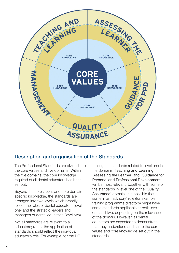

#### **Description and organisation of the Standards**

The Professional Standards are divided into the core values and five domains. Within the five domains, the core knowledge required of all dental educators has been set out.

Beyond the core values and core domain specific knowledge, the standards are arranged into two levels which broadly reflect the roles of dental educators (level one) and the strategic leaders and managers of dental education (level two).

Not all standards are relevant to all educators; rather the application of standards should reflect the individual educator's role. For example, for the DF1

trainer, the standards related to level one in the domains 'Teaching and Learning', 'Assessing the Learner' and 'Guidance for Personal and Professional Development' will be most relevant, together with some of the standards in level one of the 'Quality Assurance' domain. It is possible that some in an 'advisory' role (for example, training programme directors) might have some standards applicable at both levels one and two, depending on the relevance of the domain. However, all dental educators are expected to demonstrate that they understand and share the core values and core knowledge set out in the standards.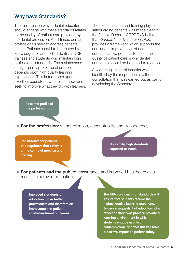#### **Why have Standards?**

The main reason why a dental educator should engage with these standards relates to the quality of patient care provided by the dental profession. At all times, dental professionals seek to address patients' needs. Patients should to be treated by knowledgeable and skilled dentists, DCPs, trainees and students who maintain high professional standards. The maintenance of high quality professional practice depends upon high quality learning experiences. This in turn relies upon excellent educators, who reflect upon and seek to improve what they do with learners. The role education and training plays in safeguarding patients was made clear in the Francis Report<sup>1</sup>. COPDEND believes that *Standards for Dental Educators* provides a framework which supports the continuous improvement of dental educators. The potential to affect the quality of patient care is why dental educators should be bothered to read on.

A wide ranging set of benefits was identified by the respondents to the consultation that was carried out as part of developing the Standards:

**Raise the profile of the profession . . .**

◗ **For the profession:** standardization, accountability and transparency.

**Reassurance for patients and regulators that safety is at the centre of practice and training.**

**Uniformity, high standards expected as norm.**

◗ **For patients and the public:** reassurance and improved healthcare as a result of improved education.

**Improved standards of education make better practitioners and therefore an improvement in patient safety/treatment outcomes.**

**The HEA considers that standards will ensure that students receive the highest quality learning experience. Evidence suggests that educators who reflect on their own practice provide a learning environment in which students engage in critical contemplation, and that this will have a positive impact on patient safety.**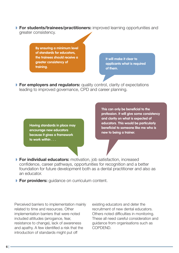◗ **For students/trainees/practitioners:** improved learning opportunities and greater consistency.

> **By ensuring a minimum level of standards for educators, the trainees should receive a greater consistency of training.**

**It will make it clear to applicants what is required of them.**

◗ **For employers and regulators:** quality control, clarity of expectations leading to improved governance, CPD and career planning.

> **Having standards in place may encourage new educators because it gives a framework to work within . . .**

**This can only be beneficial to the profession. It will give some consistency and clarity on what is expected of educators. This would be particularly beneficial to someone like me who is new to being a trainer.**

- ◗ **For individual educators:** motivation, job satisfaction, increased confidence, career pathways, opportunities for recognition and a better foundation for future development both as a dental practitioner and also as an educator.
- ◗ **For providers:** guidance on curriculum content.

Perceived barriers to implementation mainly related to time and resources. Other implementation barriers that were noted included attitudes (arrogance, fear, resistance to change), lack of awareness and apathy. A few identified a risk that the introduction of standards might put off

existing educators and deter the recruitment of new dental educators. Others noted difficulties in monitoring. These all need careful consideration and guidance from organisations such as COPDEND.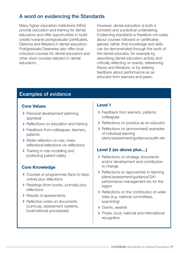#### **A word on evidencing the Standards**

Many higher education institutions (HEIs) provide education and training for dental educators and offer opportunities to build credits towards postgraduate Certificates, Diploma and Masters in dental education. Postgraduate Deaneries also offer local induction courses for dental educators and other short courses relevant to dental educators.

However, dental education is both a scholarly and a practical undertaking. Evidencing standards is therefore not solely about courses followed or certificates gained; rather, that knowledge and skills can be demonstrated through the work of the dental educator, for example by describing dental education activity and critically reflecting on events, referencing theory and literature, or by seeking feedback about performance as an educator from learners and peers.

#### **Examples of evidence**

#### **Core Values**

- ◗ Personal development planning, appraisal
- **▶ Reflections on education and training**
- ◗ Feedback from colleagues, learners, patients
- Wider reflection on role: metareflections/reflections-on-reflections
- ◗ Training in role modelling and protecting patient safety

#### **Core Knowledge**

- ◗ Courses or programmes (face-to-face, online) plus reflections
- ◗ Readings (from books, journals) plus reflections
- **▶ Results of assessments**
- ◗ Reflective notes on documents (curricula, assessment systems, local/national procedures)

#### **Level 1**

- ◗ Feedback from learners, patients, colleagues
- **▶ Reflections on practice as an educator**
- ◗ Reflections on (anonymised) examples of individual learning plans/assessment/guidance/audits etc

#### **Level 2 (as above plus…)**

- ◗ Reflections on strategy documents and/or development and contribution to change
- ◗ Reflections on approaches to learning plans/assessment/guidance/QA/ performance management etc for the region
- Reflections on the contribution of wider roles (e.g. national committees, examining)
- ◗ Grants, awards
- ◗ Prizes; local, national and international recognition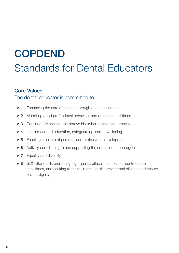## **COPDEND** Standards for Dental Educators

#### **Core Values**

#### The dental educator is committed to:

- **v. 1** Enhancing the care of patients through dental education
- **v. 2** Modelling good professional behaviour and attitudes at all times
- **v. 3** Continuously seeking to improve his or her educational practice
- **v. 4** Learner-centred education, safeguarding learner wellbeing
- **v. 5** Enabling a culture of personal and professional development
- **v. 6** Actively contributing to and supporting the education of colleagues
- **v. 7** Equality and diversity
- **v. 8** GDC Standards promoting high quality, ethical, safe patient-centred care at all times, and seeking to maintain oral health, prevent oral disease and ensure patient dignity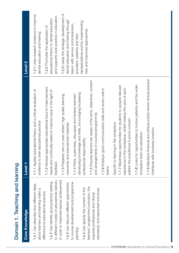| <b>Core Knowledge</b>                                                                                         | Level <sub>1</sub>                                                                                                                                                        | Level <sub>2</sub>                                                       |
|---------------------------------------------------------------------------------------------------------------|---------------------------------------------------------------------------------------------------------------------------------------------------------------------------|--------------------------------------------------------------------------|
| 1.k.1 Can describe how different ideas<br>about learners and learning make a                                  | 1.1.1 Applies educational theory and a critical evaluation of<br>evidence to their educational practice                                                                   | 1.2.1 Uses research evidence to improve<br>dental education and training |
| practice.<br>difference to educational                                                                        | 1.1.2 Devises appropriate educational input to meet learners'                                                                                                             | 1.2.2 Promotes the application of                                        |
| 1.k.2 Can identify good practice relating                                                                     | needs and continually seeks to improve input in the light of                                                                                                              | educational theory to dental education                                   |
| to different modes of educational delivery                                                                    | feedback                                                                                                                                                                  | and supports best practice in education                                  |
| in order to maximise learner achievement                                                                      | 1.1.3 Prepares own or uses others' high quality learning                                                                                                                  | 1.2.3 Leads the strategic development of                                 |
| 1.k.3 Can discuss different approaches                                                                        | esources and educational materials                                                                                                                                        | dental education and training through                                    |
| to course development and programme<br>planning                                                               | developing knowledge and skills, encouraging increasing<br>1.1.4 Plans, supervises, discusses and reviews learners'                                                       | liaison with service commissioners,<br>providers, patients and their     |
| 1.k.4 Can specify the content of the                                                                          | professional responsibility                                                                                                                                               | representatives and by implementing<br>new and improved approaches       |
| learners' programme/curriculum, the<br>standards, and expected outcomes<br>required professional and clinical | 1.1.5 Ensures learners are aware of the aims, objectives, content<br>and arrangements of courses/programmes                                                               |                                                                          |
|                                                                                                               | 1.1.6 Employs good communication skills and works well in<br>teams                                                                                                        |                                                                          |
|                                                                                                               | Specific to learning in the workplace:                                                                                                                                    |                                                                          |
|                                                                                                               | 1.1.7 Maximises opportunities for students to acquire relevant<br>experience in the workplace, whilst making the care of each<br>patient the practitioner's prime concern |                                                                          |
|                                                                                                               | 1.1.8 Looks for opportunities to involve patients and the wider<br>workplace team as educators                                                                            |                                                                          |
|                                                                                                               | 1.1.9 Maintains financial and ethical probity where clinical practice<br>interfaces with business practice                                                                |                                                                          |
|                                                                                                               |                                                                                                                                                                           |                                                                          |

Domain 1. Teaching and learning

Domain 1. Teaching and learning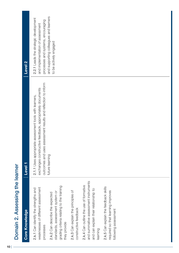| Domain 2. Assessing the learner                                                                                                     |                                                                                                                                                                                     |                                                                                                                 |
|-------------------------------------------------------------------------------------------------------------------------------------|-------------------------------------------------------------------------------------------------------------------------------------------------------------------------------------|-----------------------------------------------------------------------------------------------------------------|
| <b>Core Knowledge</b>                                                                                                               | Level <sub>1</sub>                                                                                                                                                                  | Level <sub>2</sub>                                                                                              |
| weaknesses of different assessment<br>2.k.1 Can identify the strengths and<br>processes                                             | outcomes and uses assessment results and reflection to inform<br>exchanges constructive feedback, appropriately documents<br>2.1.1 Uses appropriate assessment tools with learners, | 2.2.1 Leads the strategic development<br>processes and systems, encouraging<br>and implementation of assessment |
| grading criteria relating to the training<br>standards, assessment system or<br>2.k.2 Can describe the expected<br>they provide     | future learning                                                                                                                                                                     | and supporting colleagues and learners<br>to be actively engaged                                                |
| 2.k.3 Can explain the principles of<br>constructive feedback                                                                        |                                                                                                                                                                                     |                                                                                                                 |
| and summative assessment instruments<br>2.k.4 Can outline the use of formative<br>and can explain their relationship to<br>learning |                                                                                                                                                                                     |                                                                                                                 |
| 2.k.5 Can explain the feedback skills<br>required so that learning improves<br>following assessment                                 |                                                                                                                                                                                     |                                                                                                                 |
|                                                                                                                                     |                                                                                                                                                                                     |                                                                                                                 |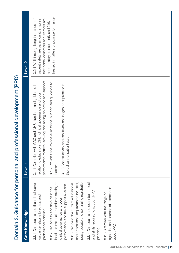| <b>Core Knowledge</b>                                                                                                                                    | Level <sub>1</sub>                                                                                                                                                                     | Level <sub>2</sub>                                                                                                         |
|----------------------------------------------------------------------------------------------------------------------------------------------------------|----------------------------------------------------------------------------------------------------------------------------------------------------------------------------------------|----------------------------------------------------------------------------------------------------------------------------|
| 3.k.1 Can access and then detail current<br>guidance relating to ethical and<br>professional conduct                                                     | performance matters, seeking and acting on advice and support<br>3.1.1 Complies with GDC and NHS standards and guidance in<br>relation to education, CPD, clinical governance and poor | that dental educators and learners are<br>3.2.1 Whilst recognising that issues of<br>patient safety are paramount, ensures |
| local and national procedures relating to<br>performance and the support available<br>3.k.2 Can access and then describe<br>clinical governance and poor | 3.1.2 Provides one-to-one educational support and guidance to<br>3.1.3 Constructively and sensitively challenges poor practice in<br>learners                                          | treated in matters of poor performance<br>appropriately, transparently and fairly                                          |
| postgraduate and continuing registration<br>and professional requirements for initial,<br>3.k.3 Can describe current educational                         | the delivery of patient care                                                                                                                                                           |                                                                                                                            |
| 3.k.4 Can access and describe the tools<br>and skills required to support PPD<br>planning                                                                |                                                                                                                                                                                        |                                                                                                                            |
| agencies and sources of information<br>3.k.5 Is familiar with the range of<br>about PPD                                                                  |                                                                                                                                                                                        |                                                                                                                            |
|                                                                                                                                                          |                                                                                                                                                                                        |                                                                                                                            |
|                                                                                                                                                          |                                                                                                                                                                                        |                                                                                                                            |

Domain 3. Guidance for personal and professional development (PPD)

Domain 3. Guidance for personal and professional development (PPD)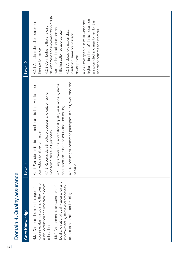|                             | Level <sub>2</sub><br>Level <sub>1</sub> | development and implementation of QA<br>4.2.1 Appraises dental educators on<br>4.2.2 Contributes to the strategic<br>systems for dental education and<br>4.2.3 Analyses evaluation data,<br>initiating action as appropriate<br>identifying areas for strategic<br>their performance<br>development<br>4.1.4 Encourages learners to participate in audit, evaluation and<br>4.1.3 Implements local and national quality assurance systems<br>4.1.1 Evaluates, reflects upon and seeks to improve his or her<br>4.1.2 Records data (inputs, processes and outcomes) for<br>and processes related to education and training<br>monitoring and audit purposes<br>own educational performance<br>research<br>training | highest standards of dental education<br>4.2.4 Develops a culture in which the<br>are promoted and maintained for the<br>benefit of patients and learners |
|-----------------------------|------------------------------------------|-------------------------------------------------------------------------------------------------------------------------------------------------------------------------------------------------------------------------------------------------------------------------------------------------------------------------------------------------------------------------------------------------------------------------------------------------------------------------------------------------------------------------------------------------------------------------------------------------------------------------------------------------------------------------------------------------------------------|-----------------------------------------------------------------------------------------------------------------------------------------------------------|
| Domain 4. Quality assurance | <b>Core Knowledge</b>                    | local and national quality assurance and<br>course evaluation tools and the roles of<br>audit, evaluation and research in dental<br>improvement systems and processes<br>4.k.2 Can demonstrate awareness of<br>4.k.1 Can describe a basic range of<br>related to education and t<br>education                                                                                                                                                                                                                                                                                                                                                                                                                     |                                                                                                                                                           |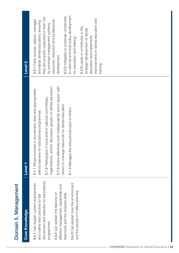| <b>Core Knowledge</b>                                                                                                                                                                                                                                                                                                                           | Level <sub>1</sub>                                                                                                                                                                                                                                                                                                                                                                                           | Level <sub>2</sub>                                                                                                                                                                                                                                                                                                                                                                                                                                                                                      |
|-------------------------------------------------------------------------------------------------------------------------------------------------------------------------------------------------------------------------------------------------------------------------------------------------------------------------------------------------|--------------------------------------------------------------------------------------------------------------------------------------------------------------------------------------------------------------------------------------------------------------------------------------------------------------------------------------------------------------------------------------------------------------|---------------------------------------------------------------------------------------------------------------------------------------------------------------------------------------------------------------------------------------------------------------------------------------------------------------------------------------------------------------------------------------------------------------------------------------------------------------------------------------------------------|
| recruitment and selection to educational<br>5.k.3 Can explain how the environment<br>5.k.1 Can explain current requirements<br>leadership and<br>and the people in it affect learning<br>teamwork and the required skills.<br>features of<br>and outline best practice for fair<br>effective management,<br>5.k.2 Can explain the<br>programmes | 5.1.3 Works effectively both independently and in liaison with<br>organisations, and/or discussion groups on dental education<br>5.1.1 Where involved in recruitment, fairly and appropriately<br>5.1.2 Participates in local and/or national committees,<br>others to manage resources for dental education<br>5.1.4 Manages the educational input of others<br>selects learners for educational programmes | 5.2.2 Instigates or positively contributes<br>to national and local policy development<br>they are properly supported in their role<br>improvements in dental education and<br>5.2.1 Fairly recruits, selects, manages<br>and leads dental educators, ensuring<br>resources, induction and professional<br>by workload management systems,<br>5.2.3 Leads or contributes to the<br>strategic development of dental<br>education and implements<br>for education and training<br>development<br>training |

Domain 5. Management

Domain 5. Management